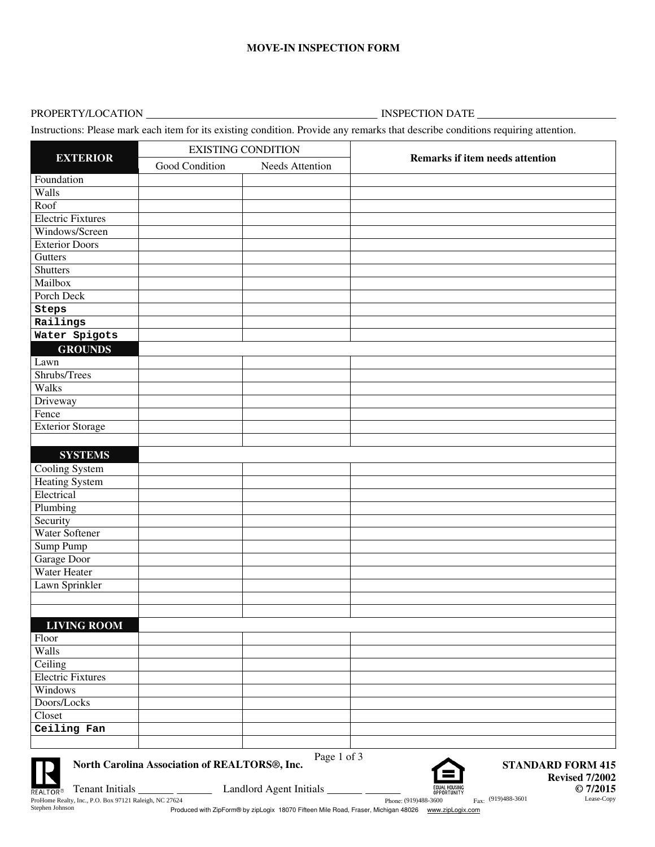## **MOVE-IN INSPECTION FORM**

## PROPERTY/LOCATION INSPECTION DATE

Instructions: Please mark each item for its existing condition. Provide any remarks that describe conditions requiring attention.

|                          | <b>EXISTING CONDITION</b> |                 |                                        |  |
|--------------------------|---------------------------|-----------------|----------------------------------------|--|
| <b>EXTERIOR</b>          | Good Condition            | Needs Attention | <b>Remarks if item needs attention</b> |  |
| Foundation               |                           |                 |                                        |  |
| Walls                    |                           |                 |                                        |  |
| Roof                     |                           |                 |                                        |  |
| <b>Electric Fixtures</b> |                           |                 |                                        |  |
| Windows/Screen           |                           |                 |                                        |  |
| <b>Exterior Doors</b>    |                           |                 |                                        |  |
| Gutters                  |                           |                 |                                        |  |
| <b>Shutters</b>          |                           |                 |                                        |  |
| Mailbox                  |                           |                 |                                        |  |
| Porch Deck               |                           |                 |                                        |  |
| Steps                    |                           |                 |                                        |  |
| Railings                 |                           |                 |                                        |  |
| Water Spigots            |                           |                 |                                        |  |
| <b>GROUNDS</b>           |                           |                 |                                        |  |
| Lawn                     |                           |                 |                                        |  |
| Shrubs/Trees             |                           |                 |                                        |  |
| Walks                    |                           |                 |                                        |  |
| Driveway                 |                           |                 |                                        |  |
| Fence                    |                           |                 |                                        |  |
| <b>Exterior Storage</b>  |                           |                 |                                        |  |
|                          |                           |                 |                                        |  |
| <b>SYSTEMS</b>           |                           |                 |                                        |  |
| <b>Cooling System</b>    |                           |                 |                                        |  |
| <b>Heating System</b>    |                           |                 |                                        |  |
| Electrical               |                           |                 |                                        |  |
| Plumbing                 |                           |                 |                                        |  |
| Security                 |                           |                 |                                        |  |
| Water Softener           |                           |                 |                                        |  |
| Sump Pump                |                           |                 |                                        |  |
| Garage Door              |                           |                 |                                        |  |
| Water Heater             |                           |                 |                                        |  |
| Lawn Sprinkler           |                           |                 |                                        |  |
|                          |                           |                 |                                        |  |
|                          |                           |                 |                                        |  |
| <b>LIVING ROOM</b>       |                           |                 |                                        |  |
| Floor                    |                           |                 |                                        |  |
| <b>Walls</b>             |                           |                 |                                        |  |
| Ceiling                  |                           |                 |                                        |  |
| <b>Electric Fixtures</b> |                           |                 |                                        |  |
| Windows                  |                           |                 |                                        |  |
| Doors/Locks              |                           |                 |                                        |  |
| Closet                   |                           |                 |                                        |  |
| Ceiling Fan              |                           |                 |                                        |  |
|                          |                           |                 |                                        |  |



**North Carolina Association of REALTORS®, Inc.**



**STANDARD FORM 415 Revised 7/2002 © 7/2015**

Produced with ZipForm® by zipLogix 18070 Fifteen Mile Road, Fraser, Michigan 48026 www.zipLogix.com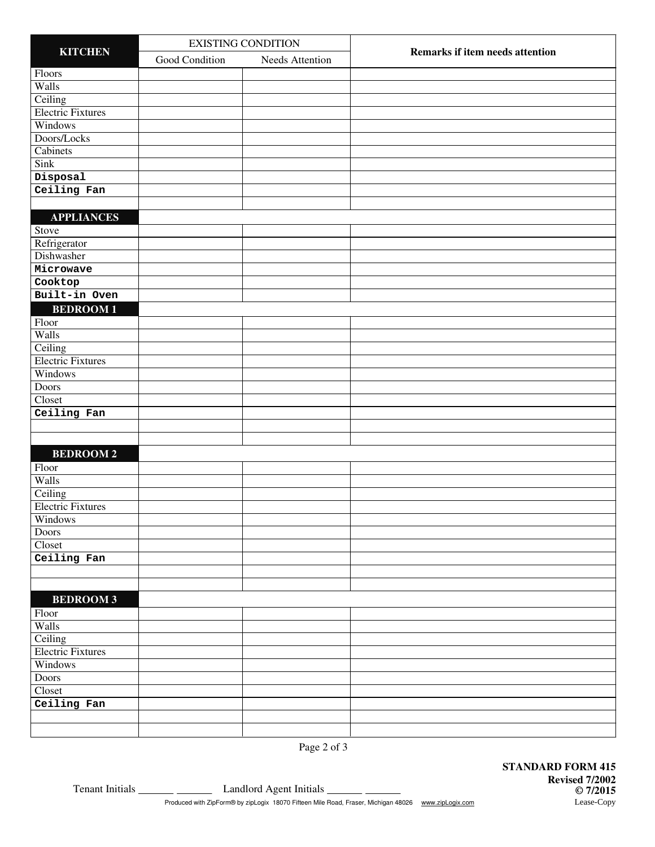| <b>KITCHEN</b>           |                | <b>EXISTING CONDITION</b> |                                 |  |
|--------------------------|----------------|---------------------------|---------------------------------|--|
|                          | Good Condition | Needs Attention           | Remarks if item needs attention |  |
| Floors                   |                |                           |                                 |  |
| Walls                    |                |                           |                                 |  |
| Ceiling                  |                |                           |                                 |  |
| <b>Electric Fixtures</b> |                |                           |                                 |  |
| Windows                  |                |                           |                                 |  |
| Doors/Locks              |                |                           |                                 |  |
| Cabinets                 |                |                           |                                 |  |
| <b>Sink</b>              |                |                           |                                 |  |
| Disposal                 |                |                           |                                 |  |
| Ceiling Fan              |                |                           |                                 |  |
|                          |                |                           |                                 |  |
| <b>APPLIANCES</b>        |                |                           |                                 |  |
| Stove                    |                |                           |                                 |  |
| Refrigerator             |                |                           |                                 |  |
| Dishwasher               |                |                           |                                 |  |
| Microwave                |                |                           |                                 |  |
| Cooktop                  |                |                           |                                 |  |
| Built-in Oven            |                |                           |                                 |  |
| <b>BEDROOM1</b>          |                |                           |                                 |  |
| Floor                    |                |                           |                                 |  |
| Walls                    |                |                           |                                 |  |
| Ceiling                  |                |                           |                                 |  |
| <b>Electric Fixtures</b> |                |                           |                                 |  |
| Windows                  |                |                           |                                 |  |
| <b>Doors</b>             |                |                           |                                 |  |
| Closet                   |                |                           |                                 |  |
| Ceiling Fan              |                |                           |                                 |  |
|                          |                |                           |                                 |  |
|                          |                |                           |                                 |  |
| <b>BEDROOM2</b>          |                |                           |                                 |  |
| Floor                    |                |                           |                                 |  |
| Walls                    |                |                           |                                 |  |
| Ceiling                  |                |                           |                                 |  |
| <b>Electric Fixtures</b> |                |                           |                                 |  |
| Windows                  |                |                           |                                 |  |
| Doors                    |                |                           |                                 |  |
| Closet                   |                |                           |                                 |  |
| Ceiling Fan              |                |                           |                                 |  |
|                          |                |                           |                                 |  |
|                          |                |                           |                                 |  |
| <b>BEDROOM 3</b>         |                |                           |                                 |  |
| Floor                    |                |                           |                                 |  |
| Walls                    |                |                           |                                 |  |
| Ceiling                  |                |                           |                                 |  |
| <b>Electric Fixtures</b> |                |                           |                                 |  |
| Windows                  |                |                           |                                 |  |
| Doors                    |                |                           |                                 |  |
| Closet                   |                |                           |                                 |  |
| Ceiling Fan              |                |                           |                                 |  |
|                          |                |                           |                                 |  |
|                          |                |                           |                                 |  |

Tenant Initials **CO2016** Landlord Agent Initials Produced with ZipForm® by zipLogix 18070 Fifteen Mile Road, Fraser, Michigan 48026 www.zipLogix.com